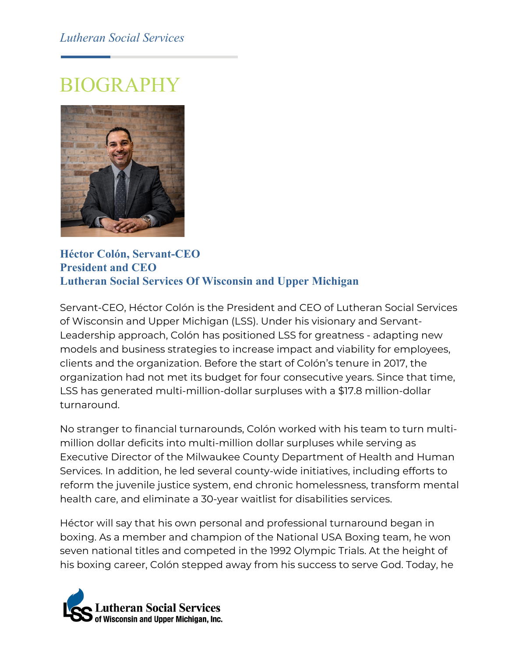## *Lutheran Social Services*

## BIOGRAPHY



**Héctor Colón, Servant-CEO President and CEO Lutheran Social Services Of Wisconsin and Upper Michigan**

Servant-CEO, Héctor Colón is the President and CEO of Lutheran Social Services of Wisconsin and Upper Michigan (LSS). Under his visionary and Servant-Leadership approach, Colón has positioned LSS for greatness - adapting new models and business strategies to increase impact and viability for employees, clients and the organization. Before the start of Colón's tenure in 2017, the organization had not met its budget for four consecutive years. Since that time, LSS has generated multi-million-dollar surpluses with a \$17.8 million-dollar turnaround.

No stranger to financial turnarounds, Colón worked with his team to turn multimillion dollar deficits into multi-million dollar surpluses while serving as Executive Director of the Milwaukee County Department of Health and Human Services. In addition, he led several county-wide initiatives, including efforts to reform the juvenile justice system, end chronic homelessness, transform mental health care, and eliminate a 30-year waitlist for disabilities services.

Héctor will say that his own personal and professional turnaround began in boxing. As a member and champion of the National USA Boxing team, he won seven national titles and competed in the 1992 Olympic Trials. At the height of his boxing career, Colón stepped away from his success to serve God. Today, he